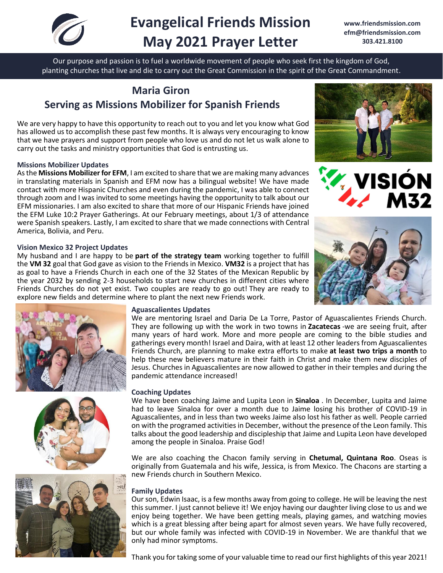

# **Evangelical Friends Mission May 2021 Prayer Letter**

**[www.friendsmission.com](http://www.friendsmission.com/) [efm@friendsmission.com](mailto:efm@friendsmission.com) 303.421.8100** 

Our purpose and passion is to fuel a worldwide movement of people who seek first the kingdom of God, planting churches that live and die to carry out the Great Commission in the spirit of the Great Commandment.

# **Maria Giron Serving as Missions Mobilizer for Spanish Friends**

We are very happy to have this opportunity to reach out to you and let you know what God has allowed us to accomplish these past few months. It is always very encouraging to know that we have prayers and support from people who love us and do not let us walk alone to carry out the tasks and ministry opportunities that God is entrusting us.

# **Missions Mobilizer Updates**

As the **Missions Mobilizer for EFM**, I am excited to share that we are making many advances in translating materials in Spanish and EFM now has a bilingual website! We have made contact with more Hispanic Churches and even during the pandemic, I was able to connect through zoom and I was invited to some meetings having the opportunity to talk about our EFM missionaries. I am also excited to share that more of our Hispanic Friends have joined the EFM Luke 10:2 Prayer Gatherings. At our February meetings, about 1/3 of attendance were Spanish speakers. Lastly, I am excited to share that we made connections with Central America, Bolivia, and Peru.

#### **Vision Mexico 32 Project Updates**

My husband and I are happy to be **part of the strategy team** working together to fulfill the **VM 32** goal that God gave as vision to the Friends in Mexico. **VM32** is a project that has as goal to have a Friends Church in each one of the 32 States of the Mexican Republic by the year 2032 by sending 2-3 households to start new churches in different cities where Friends Churches do not yet exist. Two couples are ready to go out! They are ready to explore new fields and determine where to plant the next new Friends work.













#### **Aguascalientes Updates**

We are mentoring Israel and Daria De La Torre, Pastor of Aguascalientes Friends Church. They are following up with the work in two towns in **Zacatecas** -we are seeing fruit, after many years of hard work. More and more people are coming to the bible studies and gatherings every month! Israel and Daira, with at least 12 other leaders from Aguascalientes Friends Church, are planning to make extra efforts to make **at least two trips a month** to help these new believers mature in their faith in Christ and make them new disciples of Jesus. Churches in Aguascalientes are now allowed to gather in their temples and during the pandemic attendance increased!

# **Coaching Updates**

We have been coaching Jaime and Lupita Leon in **Sinaloa** . In December, Lupita and Jaime had to leave Sinaloa for over a month due to Jaime losing his brother of COVID-19 in Aguascalientes, and in less than two weeks Jaime also lost his father as well. People carried on with the programed activities in December, without the presence of the Leon family. This talks about the good leadership and discipleship that Jaime and Lupita Leon have developed among the people in Sinaloa. Praise God!

We are also coaching the Chacon family serving in **Chetumal, Quintana Roo**. Oseas is originally from Guatemala and his wife, Jessica, is from Mexico. The Chacons are starting a new Friends church in Southern Mexico.

# **Family Updates**

Our son, Edwin Isaac, is a few months away from going to college. He will be leaving the nest this summer. I just cannot believe it! We enjoy having our daughter living close to us and we enjoy being together. We have been getting meals, playing games, and watching movies which is a great blessing after being apart for almost seven years. We have fully recovered, but our whole family was infected with COVID-19 in November. We are thankful that we only had minor symptoms.

Thank you for taking some of your valuable time to read our first highlights of this year 2021!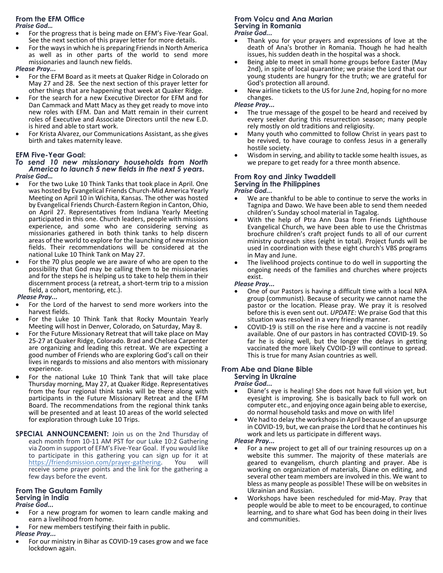# **From the EFM Office**

*Praise God…*

- For the progress that is being made on EFM's Five-Year Goal. See the next section of this prayer letter for more details.
- For the ways in which he is preparing Friends in North America as well as in other parts of the world to send more missionaries and launch new fields.

#### *Please Pray...*

- For the EFM Board as it meets at Quaker Ridge in Colorado on May 27 and 28. See the next section of this prayer letter for other things that are happening that week at Quaker Ridge.
- For the search for a new Executive Director for EFM and for Dan Cammack and Matt Macy as they get ready to move into new roles with EFM. Dan and Matt remain in their current roles of Executive and Associate Directors until the new E.D. is hired and able to start work.
- For Krista Alvarez, our Communications Assistant, as she gives birth and takes maternity leave.

# **EFM Five-Year Goal:**

#### *To send 10 new missionary households from North America to launch 5 new fields in the next 5 years. Praise God…*

- For the two Luke 10 Think Tanks that took place in April. One was hosted by Evangelical Friends Church-Mid America Yearly Meeting on April 10 in Wichita, Kansas. The other was hosted by Evangelical Friends Church-Eastern Region in Canton, Ohio, on April 27. Representatives from Indiana Yearly Meeting participated in this one. Church leaders, people with missions experience, and some who are considering serving as missionaries gathered in both think tanks to help discern areas of the world to explore for the launching of new mission fields. Their recommendations will be considered at the national Luke 10 Think Tank on May 27.
- For the 70 plus people we are aware of who are open to the possibility that God may be calling them to be missionaries and for the steps he is helping us to take to help them in their discernment process (a retreat, a short-term trip to a mission field, a cohort, mentoring, etc.).

#### *Please Pray...*

- For the Lord of the harvest to send more workers into the harvest fields.
- For the Luke 10 Think Tank that Rocky Mountain Yearly Meeting will host in Denver, Colorado, on Saturday, May 8.
- For the Future Missionary Retreat that will take place on May 25-27 at Quaker Ridge, Colorado. Brad and Chelsea Carpenter are organizing and leading this retreat. We are expecting a good number of Friends who are exploring God's call on their lives in regards to missions and also mentors with missionary experience.
- For the national Luke 10 Think Tank that will take place Thursday morning, May 27, at Quaker Ridge. Representatives from the four regional think tanks will be there along with participants in the Future Missionary Retreat and the EFM Board. The recommendations from the regional think tanks will be presented and at least 10 areas of the world selected for exploration through Luke 10 Trips.
- **SPECIAL ANNOUNCEMENT:** Join us on the 2nd Thursday of each month from 10-11 AM PST for our Luke 10:2 Gathering via Zoom in support of EFM's Five-Year Goal. If you would like to participate in this gathering you can sign up for it at https://friendsmission.com/prayer-gathering. You will https://friendsmission.com/prayer-gathering. receive some prayer points and the link for the gathering a few days before the event.

# **From The Gautam Family Serving in India**

#### *Praise God...*

- For a new program for women to learn candle making and earn a livelihood from home.
- For new members testifying their faith in public.

# *Please Pray...*

• For our ministry in Bihar as COVID-19 cases grow and we face lockdown again.

#### **From Voicu and Ana Marian Serving in Romania** *Praise God...*

- Thank you for your prayers and expressions of love at the death of Ana's brother in Romania. Though he had health issues, his sudden death in the hospital was a shock.
- Being able to meet in small home groups before Easter (May 2nd), in spite of local quarantine; we praise the Lord that our young students are hungry for the truth; we are grateful for God's protection all around.
- New airline tickets to the US for June 2nd, hoping for no more changes.

#### *Please Pray...*

- The true message of the gospel to be heard and received by every seeker during this resurrection season; many people rely mostly on old traditions and religiosity.
- Many youth who committed to follow Christ in years past to be revived, to have courage to confess Jesus in a generally hostile society.
- Wisdom in serving, and ability to tackle some health issues, as we prepare to get ready for a three month absence.

#### **From Roy and Jinky Twaddell Serving in the Philippines** *Praise God...*

- We are thankful to be able to continue to serve the works in Tagnipa and Dawo. We have been able to send them needed children's Sunday school material in Tagalog.
- With the help of Ptra Ann Dasa from Friends Lighthouse Evangelical Church, we have been able to use the Christmas brochure children's craft project funds to all of our current ministry outreach sites (eight in total). Project funds will be used in coordination with these eight church's VBS programs in May and June.
- The livelihood projects continue to do well in supporting the ongoing needs of the families and churches where projects exist.

#### *Please Pray...*

- One of our Pastors is having a difficult time with a local NPA group (communist). Because of security we cannot name the pastor or the location. Please pray. We pray it is resolved before this is even sent out. *UPDATE:* We praise God that this situation was resolved in a very friendly manner.
- COVID-19 is still on the rise here and a vaccine is not readily available. One of our pastors in has contracted COVID-19. So far he is doing well, but the longer the delays in getting vaccinated the more likely CVOID-19 will continue to spread. This is true for many Asian countries as well.

#### **From Abe and Diane Bible Serving in Ukraine**

#### *Praise God...*

- Diane's eye is healing! She does not have full vision yet, but eyesight is improving. She is basically back to full work on computer etc., and enjoying once again being able to exercise, do normal household tasks and move on with life!
- We had to delay the workshops in April because of an upsurge in COVID-19, but, we can praise the Lord that he continues his work and lets us participate in different ways.

#### *Please Pray...*

- For a new project to get all of our training resources up on a website this summer. The majority of these materials are geared to evangelism, church planting and prayer. Abe is working on organization of materials, Diane on editing, and several other team members are involved in this. We want to bless as many people as possible! These will be on websites in Ukrainian and Russian.
- Workshops have been rescheduled for mid-May. Pray that people would be able to meet to be encouraged, to continue learning, and to share what God has been doing in their lives and communities.